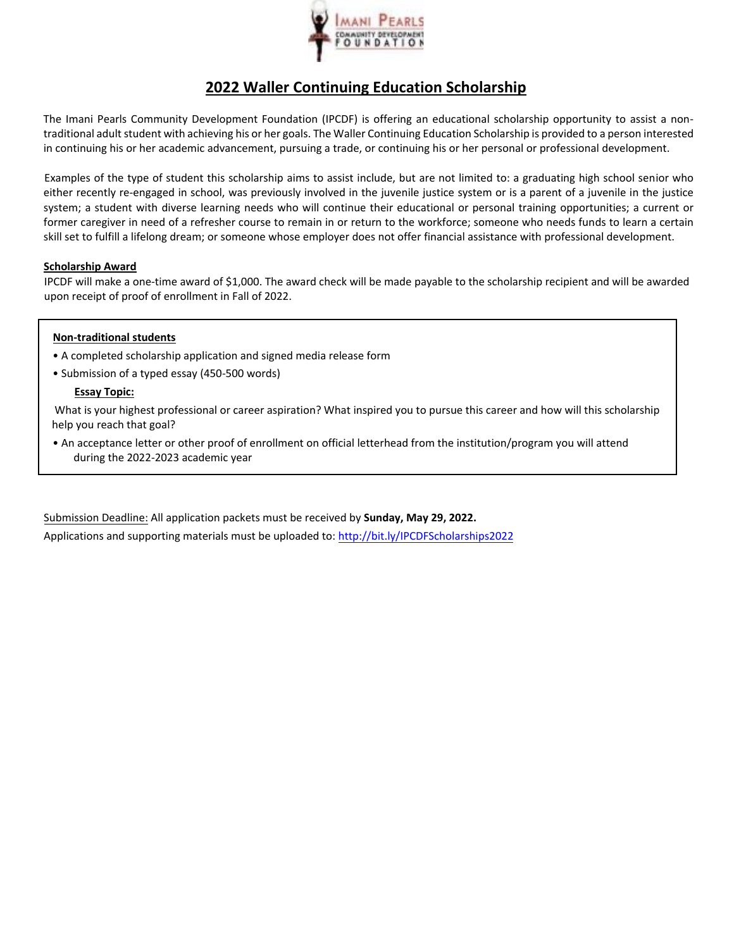

# **2022 Waller Continuing Education Scholarship**

The Imani Pearls Community Development Foundation (IPCDF) is offering an educational scholarship opportunity to assist a non‐ traditional adult student with achieving his or her goals. The Waller Continuing Education Scholarship is provided to a person interested in continuing his or her academic advancement, pursuing a trade, or continuing his or her personal or professional development.

Examples of the type of student this scholarship aims to assist include, but are not limited to: a graduating high school senior who either recently re-engaged in school, was previously involved in the juvenile justice system or is a parent of a juvenile in the justice system; a student with diverse learning needs who will continue their educational or personal training opportunities; a current or former caregiver in need of a refresher course to remain in or return to the workforce; someone who needs funds to learn a certain skill set to fulfill a lifelong dream; or someone whose employer does not offer financial assistance with professional development.

### **Scholarship Award**

IPCDF will make a one‐time award of \$1,000. The award check will be made payable to the scholarship recipient and will be awarded upon receipt of proof of enrollment in Fall of 2022.

#### **Non‐traditional students**

- A completed scholarship application and signed media release form
- Submission of a typed essay (450-500 words)

#### **Essay Topic:**

What is your highest professional or career aspiration? What inspired you to pursue this career and how will this scholarship help you reach that goal?

• An acceptance letter or other proof of enrollment on official letterhead from the institution/program you will attend during the 2022-2023 academic year

Submission Deadline: All application packets must be received by **Sunday, May 29, 2022.** 

Applications and supporting materials must be uploaded to: http://bit.ly/IPCDFScholarships2022